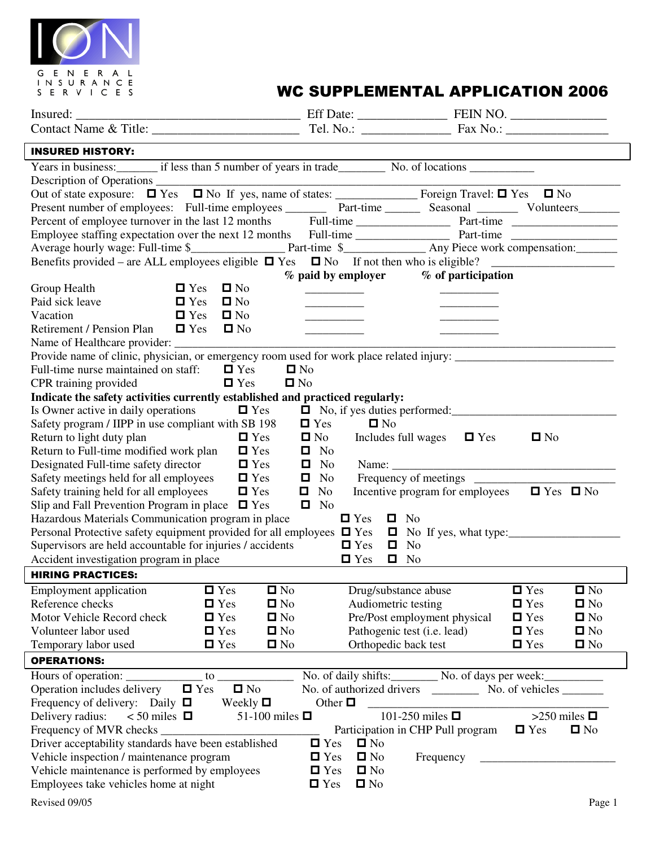

# WC SUPPLEMENTAL APPLICATION 2006

| <b>INSURED HISTORY:</b>                                                                                                                           |                                            |                                                         |                   |
|---------------------------------------------------------------------------------------------------------------------------------------------------|--------------------------------------------|---------------------------------------------------------|-------------------|
| Years in business: in the issue of years in trade No. of locations No. of locations                                                               |                                            |                                                         |                   |
|                                                                                                                                                   |                                            |                                                         |                   |
|                                                                                                                                                   |                                            |                                                         |                   |
|                                                                                                                                                   |                                            |                                                         |                   |
|                                                                                                                                                   |                                            |                                                         |                   |
|                                                                                                                                                   |                                            |                                                         |                   |
|                                                                                                                                                   |                                            |                                                         |                   |
| Benefits provided – are ALL employees eligible $\Box$ Yes $\Box$ No If not then who is eligible?                                                  |                                            |                                                         |                   |
|                                                                                                                                                   | $%$ paid by employer $%$ of participation  |                                                         |                   |
| $\blacksquare$ Yes<br>$\blacksquare$ No<br>Group Health                                                                                           |                                            |                                                         |                   |
| Paid sick leave<br>$\Box$ Yes<br>$\blacksquare$ No                                                                                                |                                            |                                                         |                   |
| $\square$ No<br>Vacation<br>$\blacksquare$ Yes                                                                                                    |                                            |                                                         |                   |
| Retirement / Pension Plan<br>$\blacksquare$ No<br>$\Box$ Yes                                                                                      | <u> Listen van de Berlingen van de Sta</u> | _____________                                           |                   |
|                                                                                                                                                   |                                            |                                                         |                   |
|                                                                                                                                                   |                                            |                                                         |                   |
| Full-time nurse maintained on staff: $\Box$ Yes                                                                                                   | $\Box$ No                                  |                                                         |                   |
| $\blacksquare$ Yes<br>CPR training provided                                                                                                       | $\Box$ No                                  |                                                         |                   |
| Indicate the safety activities currently established and practiced regularly:                                                                     |                                            |                                                         |                   |
| Is Owner active in daily operations $\Box$ Yes                                                                                                    |                                            | No, if yes duties performed:                            |                   |
| Safety program / IIPP in use compliant with SB 198                                                                                                | $\blacksquare$ No<br>$\blacksquare$ Yes    |                                                         |                   |
| Return to light duty plan<br>$\Box$ Yes                                                                                                           | $\blacksquare$ No                          | Includes full wages $\Box$ Yes<br>$\blacksquare$ No     |                   |
| Return to Full-time modified work plan<br>$\blacksquare$ Yes                                                                                      | $\Box$ No                                  |                                                         |                   |
| Designated Full-time safety director<br>$\Box$ Yes                                                                                                | $\blacksquare$ No                          |                                                         |                   |
| Safety meetings held for all employees<br>$\blacksquare$ Yes                                                                                      | $\blacksquare$ No                          |                                                         |                   |
| Safety training held for all employees<br>$\Box$ Yes                                                                                              | $\blacksquare$ No                          | Incentive program for employees $\Box$ Yes $\Box$ No    |                   |
| Slip and Fall Prevention Program in place $\Box$ Yes                                                                                              | $\blacksquare$ No                          |                                                         |                   |
| Hazardous Materials Communication program in place                                                                                                | $\blacksquare$ Yes<br>$\Box$ No            |                                                         |                   |
| Personal Protective safety equipment provided for all employees $\Box$ Yes $\Box$ No If yes, what type:                                           |                                            |                                                         |                   |
| Supervisors are held accountable for injuries / accidents                                                                                         | $\blacksquare$ Yes<br>$\Box$ No            |                                                         |                   |
| Accident investigation program in place                                                                                                           | $\Box$ Yes<br>$\Box$ No                    |                                                         |                   |
| <b>HIRING PRACTICES:</b>                                                                                                                          |                                            |                                                         |                   |
| <b>Employment</b> application<br>$\blacksquare$ Yes                                                                                               | $\blacksquare$ No<br>Drug/substance abuse  | $\blacksquare$ Yes                                      | $\blacksquare$ No |
| Reference checks<br>$\Box$ Yes                                                                                                                    | Audiometric testing<br>$\blacksquare$ No   | $\blacksquare$ Yes                                      | $\blacksquare$ No |
| Motor Vehicle Record check<br>$\blacksquare$ Yes                                                                                                  | $\blacksquare$ No                          | Pre/Post employment physical<br>$\blacksquare$ Yes      | $\blacksquare$ No |
| $\blacksquare$ Yes<br>Volunteer labor used                                                                                                        | $\blacksquare$ No                          | Pathogenic test (i.e. lead)<br>$\blacksquare$ Yes       | $\blacksquare$ No |
| $\blacksquare$ Yes<br>Temporary labor used                                                                                                        | Orthopedic back test<br>$\blacksquare$ No  | $\blacksquare$ Yes                                      | $\blacksquare$ No |
| <b>OPERATIONS:</b>                                                                                                                                |                                            |                                                         |                   |
| Hours of operation: ______________ to _________________ No. of daily shifts: ________ No. of days per week: ___________                           |                                            |                                                         |                   |
| Operation includes delivery $\Box$ Yes<br>$\blacksquare$ No                                                                                       |                                            |                                                         |                   |
| Frequency of delivery: Daily $\Box$ Weekly $\Box$                                                                                                 | Other $\Box$                               |                                                         |                   |
| Delivery radius:<br>$<$ 50 miles $\Box$<br>51-100 miles $\Box$                                                                                    |                                            | 101-250 miles $\blacksquare$                            | >250 miles $\Box$ |
| Frequency of MVR checks _<br><u> 1980 - Johann Barn, mars ar breithinn ar breithinn ar breithinn ar breithinn ar breithinn ar breithinn ar br</u> |                                            | Participation in CHP Pull program<br>$\blacksquare$ Yes | $\Box$ No         |
| Driver acceptability standards have been established                                                                                              | $\Box$ Yes<br>$\square$ No                 |                                                         |                   |
| Vehicle inspection / maintenance program                                                                                                          | $\blacksquare$ Yes<br>$\Box$ No            | Frequency                                               |                   |
| Vehicle maintenance is performed by employees                                                                                                     | $\blacksquare$ No<br>$\blacksquare$ Yes    |                                                         |                   |
| Employees take vehicles home at night                                                                                                             | $\Box$ No<br>$\blacksquare$ Yes            |                                                         |                   |
|                                                                                                                                                   |                                            |                                                         |                   |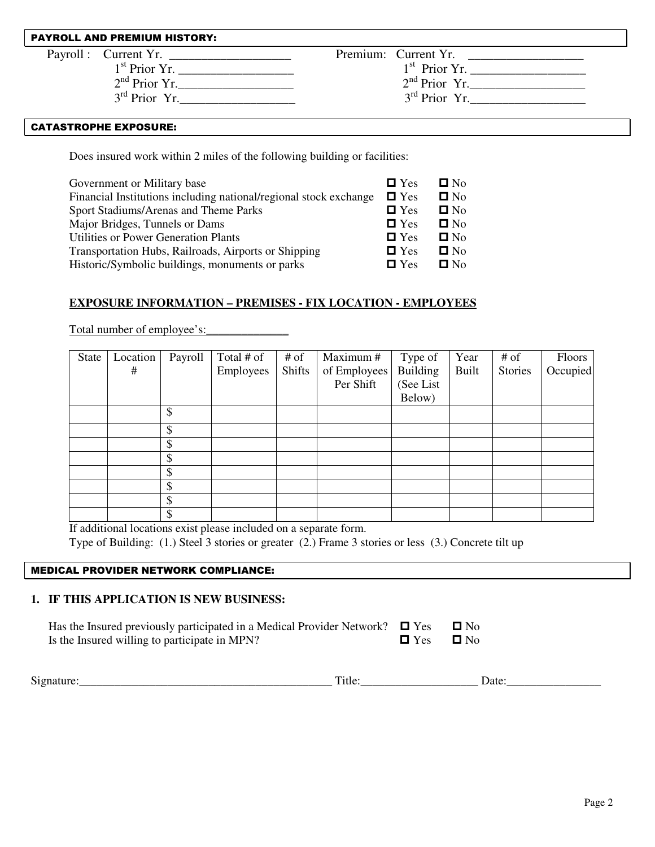#### PAYROLL AND PREMIUM HISTORY:

| Payroll: Current Yr. |                 | Premium: Current Yr. |  |
|----------------------|-----------------|----------------------|--|
|                      | $1st$ Prior Yr. | $1st$ Prior Yr.      |  |
|                      | $2nd$ Prior Yr. | $2nd$ Prior Yr.      |  |
|                      | $3rd$ Prior Yr. | $3rd$ Prior Yr.      |  |
|                      |                 |                      |  |

#### **CATASTROPHE EXPOSURE:**

Does insured work within 2 miles of the following building or facilities:

| $\blacksquare$ Yes | $\Box$ No    |
|--------------------|--------------|
| $\Box$ Yes         | $\square$ No |
| $\blacksquare$ Yes | $\Box$ No    |
| $\Box$ Yes         | $\Box$ No    |
| $\Box$ Yes         | $\Box$ No    |
| $\Box$ Yes         | $\Box$ No    |
| $\blacksquare$ Yes | $\Box$ No    |
|                    |              |

### **EXPOSURE INFORMATION – PREMISES - FIX LOCATION - EMPLOYEES**

Total number of employee's:

| State | Location | Payroll | Total # of | $#$ of        | Maximum #    | Type of    | Year         | $#$ of  | <b>Floors</b> |
|-------|----------|---------|------------|---------------|--------------|------------|--------------|---------|---------------|
|       | #        |         | Employees  | <b>Shifts</b> | of Employees | Building   | <b>Built</b> | Stories | Occupied      |
|       |          |         |            |               | Per Shift    | (See List) |              |         |               |
|       |          |         |            |               |              | Below)     |              |         |               |
|       |          | \$      |            |               |              |            |              |         |               |
|       |          | \$      |            |               |              |            |              |         |               |
|       |          | \$      |            |               |              |            |              |         |               |
|       |          | \$      |            |               |              |            |              |         |               |
|       |          | Φ       |            |               |              |            |              |         |               |
|       |          | \$      |            |               |              |            |              |         |               |
|       |          | \$      |            |               |              |            |              |         |               |
|       |          |         |            |               |              |            |              |         |               |

If additional locations exist please included on a separate form.

Type of Building: (1.) Steel 3 stories or greater (2.) Frame 3 stories or less (3.) Concrete tilt up

### MEDICAL PROVIDER NETWORK COMPLIANCE:

### **1. IF THIS APPLICATION IS NEW BUSINESS:**

| Has the Insured previously participated in a Medical Provider Network? $\Box$ Yes $\Box$ No |                      |  |
|---------------------------------------------------------------------------------------------|----------------------|--|
| Is the Insured willing to participate in MPN?                                               | $\Box$ Yes $\Box$ No |  |

| $\sim$<br>$S10^{r}$<br>______ | T <sub>iffe</sub> | ate<br>-- |
|-------------------------------|-------------------|-----------|
|                               |                   |           |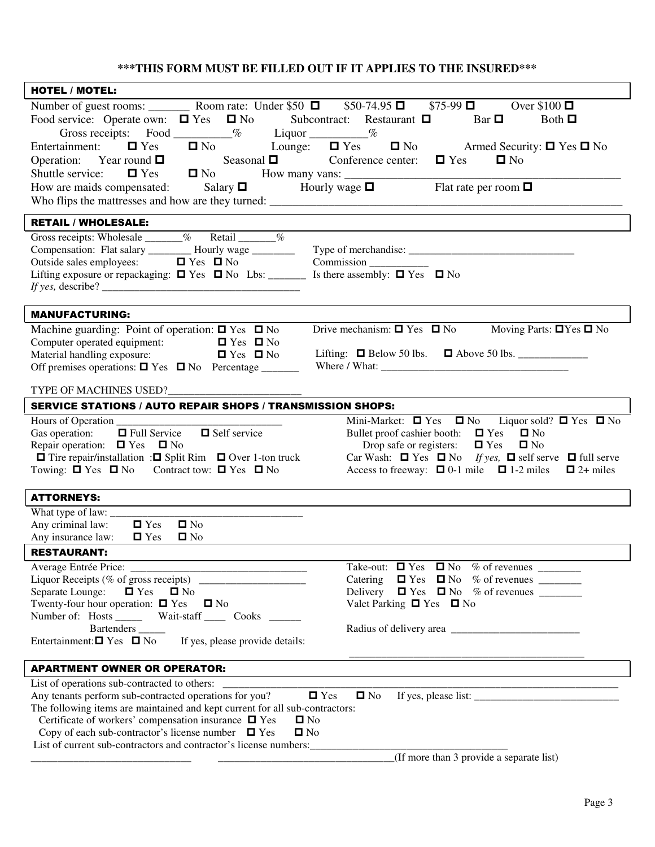## **\*\*\*THIS FORM MUST BE FILLED OUT IF IT APPLIES TO THE INSURED\*\*\***

| <b>HOTEL / MOTEL:</b>                                                                                                                         |                                                                                                                                                                                                                                                                                                                         |
|-----------------------------------------------------------------------------------------------------------------------------------------------|-------------------------------------------------------------------------------------------------------------------------------------------------------------------------------------------------------------------------------------------------------------------------------------------------------------------------|
|                                                                                                                                               |                                                                                                                                                                                                                                                                                                                         |
| Food service: Operate own: $\Box$ Yes $\Box$ No Subcontract: Restaurant $\Box$ Bar $\Box$ Both $\Box$                                         |                                                                                                                                                                                                                                                                                                                         |
| Gross receipts: Food ________% Liquor ________%                                                                                               |                                                                                                                                                                                                                                                                                                                         |
| $\Box$ No Lounge: $\Box$ Yes<br>Entertainment: $\Box$ Yes                                                                                     | $\Box$ No Armed Security: $\Box$ Yes $\Box$ No                                                                                                                                                                                                                                                                          |
|                                                                                                                                               |                                                                                                                                                                                                                                                                                                                         |
|                                                                                                                                               |                                                                                                                                                                                                                                                                                                                         |
|                                                                                                                                               |                                                                                                                                                                                                                                                                                                                         |
|                                                                                                                                               |                                                                                                                                                                                                                                                                                                                         |
| <b>RETAIL / WHOLESALE:</b>                                                                                                                    |                                                                                                                                                                                                                                                                                                                         |
| Gross receipts: Wholesale ______% Retail ______%                                                                                              |                                                                                                                                                                                                                                                                                                                         |
|                                                                                                                                               |                                                                                                                                                                                                                                                                                                                         |
| Lifting exposure or repackaging: $\Box$ Yes $\Box$ No Lbs: __________ Is there assembly: $\Box$ Yes $\Box$ No                                 | Commission                                                                                                                                                                                                                                                                                                              |
|                                                                                                                                               |                                                                                                                                                                                                                                                                                                                         |
|                                                                                                                                               |                                                                                                                                                                                                                                                                                                                         |
| <b>MANUFACTURING:</b>                                                                                                                         |                                                                                                                                                                                                                                                                                                                         |
| Machine guarding: Point of operation: $\Box$ Yes $\Box$ No                                                                                    | Drive mechanism: $\Box$ Yes $\Box$ No Moving Parts: $\Box$ Yes $\Box$ No                                                                                                                                                                                                                                                |
| Computer operated equipment: $\Box$ Yes $\Box$ No                                                                                             |                                                                                                                                                                                                                                                                                                                         |
| Material handling exposure: $\Box$ Yes $\Box$ No                                                                                              | Lifting: $\Box$ Below 50 lbs. $\Box$ Above 50 lbs.                                                                                                                                                                                                                                                                      |
|                                                                                                                                               |                                                                                                                                                                                                                                                                                                                         |
|                                                                                                                                               |                                                                                                                                                                                                                                                                                                                         |
| <b>SERVICE STATIONS / AUTO REPAIR SHOPS / TRANSMISSION SHOPS:</b>                                                                             |                                                                                                                                                                                                                                                                                                                         |
|                                                                                                                                               | Mini-Market: $\Box$ Yes $\Box$ No Liquor sold? $\Box$ Yes $\Box$ No                                                                                                                                                                                                                                                     |
| $\Box$ Full Service $\Box$ Self service<br>Gas operation:                                                                                     | Bullet proof cashier booth: $\Box$ Yes $\Box$ No                                                                                                                                                                                                                                                                        |
| Repair operation: $\Box$ Yes $\Box$ No                                                                                                        | Drop safe or registers: $\Box$ Yes<br>$\blacksquare$ No                                                                                                                                                                                                                                                                 |
| $\Box$ Tire repair/installation : $\Box$ Split Rim $\Box$ Over 1-ton truck<br>Towing: $\Box$ Yes $\Box$ No Contract tow: $\Box$ Yes $\Box$ No | Car Wash: $\Box$ Yes $\Box$ No If yes, $\Box$ self serve $\Box$ full serve<br>Access to freeway: $\Box$ 0-1 mile $\Box$ 1-2 miles $\Box$ 2+ miles                                                                                                                                                                       |
|                                                                                                                                               |                                                                                                                                                                                                                                                                                                                         |
| <b>ATTORNEYS:</b>                                                                                                                             |                                                                                                                                                                                                                                                                                                                         |
|                                                                                                                                               |                                                                                                                                                                                                                                                                                                                         |
| Any criminal law:<br>$\blacksquare$ No<br>$\blacksquare$ Yes                                                                                  |                                                                                                                                                                                                                                                                                                                         |
| Any insurance law: $\Box$ Yes<br>$\blacksquare$ No                                                                                            |                                                                                                                                                                                                                                                                                                                         |
| <b>RESTAURANT:</b>                                                                                                                            |                                                                                                                                                                                                                                                                                                                         |
|                                                                                                                                               |                                                                                                                                                                                                                                                                                                                         |
|                                                                                                                                               |                                                                                                                                                                                                                                                                                                                         |
| Separate Lounge:<br>$\Box$ Yes<br>$\blacksquare$ No                                                                                           | Delivery $\Box$ Yes $\Box$ No % of revenues _________                                                                                                                                                                                                                                                                   |
| Twenty-four hour operation: $\Box$ Yes $\Box$ No                                                                                              | Valet Parking $\Box$ Yes $\Box$ No                                                                                                                                                                                                                                                                                      |
| Number of: Hosts ________ Wait-staff _______ Cooks _______<br>Bartenders ______                                                               |                                                                                                                                                                                                                                                                                                                         |
| Entertainment: $\Box$ Yes $\Box$ No<br>If yes, please provide details:                                                                        |                                                                                                                                                                                                                                                                                                                         |
|                                                                                                                                               |                                                                                                                                                                                                                                                                                                                         |
| <b>APARTMENT OWNER OR OPERATOR:</b>                                                                                                           |                                                                                                                                                                                                                                                                                                                         |
| List of operations sub-contracted to others: ___________                                                                                      |                                                                                                                                                                                                                                                                                                                         |
| Any tenants perform sub-contracted operations for you?<br>$\blacksquare$ Yes                                                                  | If yes, please list: $\frac{1}{1}$ = $\frac{1}{1}$ = $\frac{1}{1}$ = $\frac{1}{1}$ = $\frac{1}{1}$ = $\frac{1}{1}$ = $\frac{1}{1}$ = $\frac{1}{1}$ = $\frac{1}{1}$ = $\frac{1}{1}$ = $\frac{1}{1}$ = $\frac{1}{1}$ = $\frac{1}{1}$ = $\frac{1}{1}$ = $\frac{1}{1}$ = $\frac{1}{1}$ = $\frac{1}{1}$<br>$\blacksquare$ No |
| The following items are maintained and kept current for all sub-contractors:                                                                  |                                                                                                                                                                                                                                                                                                                         |
| Certificate of workers' compensation insurance $\Box$ Yes<br>$\blacksquare$ No                                                                |                                                                                                                                                                                                                                                                                                                         |
| Copy of each sub-contractor's license number $\Box$ Yes<br>$\square$ No<br>List of current sub-contractors and contractor's license numbers:  | <u> 1980 - Johann Barn, mars an t-Amerikaansk kommunister (</u>                                                                                                                                                                                                                                                         |
|                                                                                                                                               | (If more than 3 provide a separate list)                                                                                                                                                                                                                                                                                |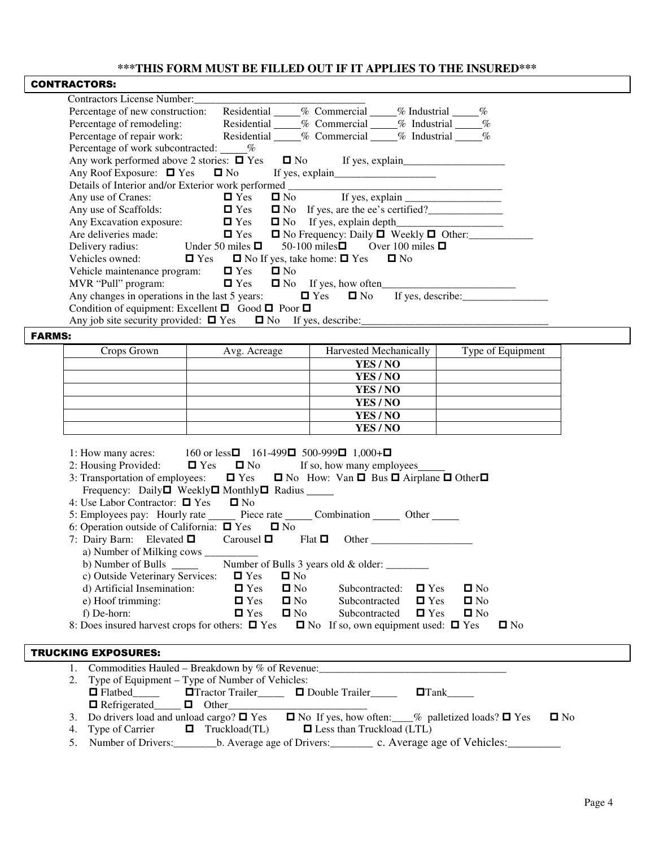### **\*\*\*THIS FORM MUST BE FILLED OUT IF IT APPLIES TO THE INSURED\*\*\***

| <b>Contractors License Number:</b>                                               |             |                   |                                                              |                                                        |      |
|----------------------------------------------------------------------------------|-------------|-------------------|--------------------------------------------------------------|--------------------------------------------------------|------|
| Percentage of new construction:                                                  | Residential |                   |                                                              | % Commercial % Industrial                              | $\%$ |
| Percentage of remodeling:                                                        | Residential |                   | % Commercial                                                 | % Industrial                                           | $\%$ |
| Percentage of repair work: Residential                                           |             |                   | % Commercial                                                 | % Industrial                                           | $\%$ |
| Percentage of work subcontracted: _____%                                         |             |                   |                                                              |                                                        |      |
| Any work performed above 2 stories: $\Box$ Yes                                   |             |                   |                                                              |                                                        |      |
|                                                                                  |             |                   |                                                              |                                                        |      |
|                                                                                  |             |                   |                                                              |                                                        |      |
| Any use of Cranes:                                                               | $\Box$ Yes  |                   |                                                              |                                                        |      |
| Any use of Scaffolds:                                                            | $\Box$ Yes  |                   |                                                              | □ No If yes, are the ee's certified?<br><u>□</u>       |      |
| Any Excavation exposure: $\Box$ Yes $\Box$ No If yes, explain depth              |             |                   |                                                              |                                                        |      |
| Are deliveries made: $\Box$ Yes                                                  |             |                   |                                                              | $\Box$ No Frequency: Daily $\Box$ Weekly $\Box$ Other: |      |
| Delivery radius: Under 50 miles $\Box$ 50-100 miles $\Box$ Over 100 miles $\Box$ |             |                   |                                                              |                                                        |      |
| Vehicles owned:                                                                  |             |                   | $\Box$ Yes $\Box$ No If yes, take home: $\Box$ Yes $\Box$ No |                                                        |      |
| Vehicle maintenance program: $\Box$ Yes                                          |             | $\blacksquare$ No |                                                              |                                                        |      |
|                                                                                  |             |                   |                                                              |                                                        |      |
| Any changes in operations in the last 5 years: $\Box$ Yes $\Box$ No              |             |                   |                                                              | If yes, describe:                                      |      |
| Condition of equipment: Excellent $\Box$ Good $\Box$ Poor $\Box$                 |             |                   |                                                              |                                                        |      |
| Any job site security provided: $\Box$ Yes $\Box$ No If yes, describe:           |             |                   |                                                              |                                                        |      |

### Crops Grown Avg. Acreage Harvested Mechanically Type of Equipment **YES / NO YES / NO YES / NO YES / NO YES / NO YES / NO**

| 1: How many acres: $160$ or less $\Box$ 161-499 $\Box$ 500-999 $\Box$ 1,000+ $\Box$<br>2: Housing Provided: $\Box$ Yes $\Box$ No If so, how many employees<br>3: Transportation of employees: $\Box$ Yes $\Box$ No How: Van $\Box$ Bus $\Box$ Airplane $\Box$ Other $\Box$ |
|----------------------------------------------------------------------------------------------------------------------------------------------------------------------------------------------------------------------------------------------------------------------------|
| Frequency: Daily□ Weekly□ Monthly□ Radius ______<br>4: Use Labor Contractor: $\Box$ Yes $\Box$ No                                                                                                                                                                          |
| 5: Employees pay: Hourly rate Piece rate Combination Cher Combe                                                                                                                                                                                                            |
| 6: Operation outside of California: $\Box$ Yes $\Box$ No                                                                                                                                                                                                                   |
| 7: Dairy Barn: Elevated $\Box$ Carousel $\Box$ Flat $\Box$ Other ______________________                                                                                                                                                                                    |
|                                                                                                                                                                                                                                                                            |
| b) Number of Bulls _______ Number of Bulls 3 years old & older: _______                                                                                                                                                                                                    |
| c) Outside Veterinary Services: $\Box$ Yes<br>$\square$ No                                                                                                                                                                                                                 |
| d) Artificial Insemination: $\Box$ Yes $\Box$ No Subcontracted: $\Box$ Yes $\Box$ No                                                                                                                                                                                       |
| e) Hoof trimming: $\Box$ Yes $\Box$ No Subcontracted $\Box$ Yes $\Box$ No                                                                                                                                                                                                  |
| f) De-horn: $\Box$ Yes $\Box$ No Subcontracted $\Box$ Yes $\Box$ No                                                                                                                                                                                                        |
| 8: Does insured harvest crops for others: $\Box$ Yes $\Box$ No If so, own equipment used: $\Box$ Yes<br>$\square$ No                                                                                                                                                       |
|                                                                                                                                                                                                                                                                            |
| <b>TRUCKING EXPOSURES:</b>                                                                                                                                                                                                                                                 |
| 1. Commodities Hauled – Breakdown by % of Revenue: _____________________________                                                                                                                                                                                           |
| 2. Type of Equipment – Type of Number of Vehicles:                                                                                                                                                                                                                         |
| □ Flatbed □ □ Fractor Trailer □ □ Double Trailer □ □ Tank                                                                                                                                                                                                                  |
|                                                                                                                                                                                                                                                                            |
| 3. Do drivers load and unload cargo? $\Box$ Yes $\Box$ No If yes, how often: $\Box$ % palletized loads? $\Box$ Yes<br>$\blacksquare$ No                                                                                                                                    |
| 4. Type of Carrier $\Box$ Truckload(TL)<br>$\Box$ Less than Truckload (LTL)                                                                                                                                                                                                |

5. Number of Drivers: https://www.areage.of Drivers: c. Average age of Vehicles: